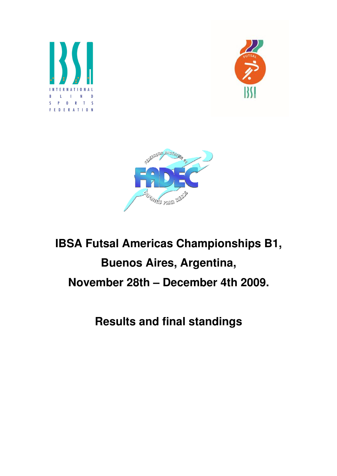





# **IBSA Futsal Americas Championships B1, Buenos Aires, Argentina, November 28th – December 4th 2009.**

**Results and final standings**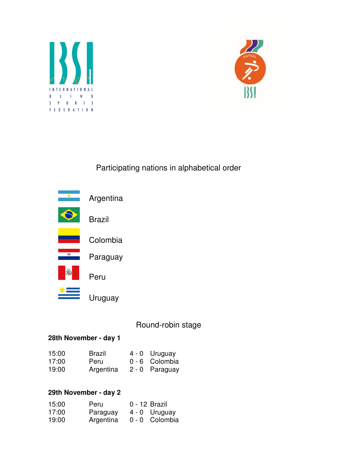



## Participating nations in alphabetical order



## Round-robin stage

#### **28th November - day 1**

| 15:00 | Brazil    | 4 - 0 Uruguay  |
|-------|-----------|----------------|
| 17:00 | Peru      | 0 - 6 Colombia |
| 19:00 | Argentina | 2 - 0 Paraguay |

#### **29th November - day 2**

| 15:00 | Peru      | 0 - 12 Brazil  |
|-------|-----------|----------------|
| 17:00 | Paraguay  | 4 - 0 Uruguay  |
| 19:00 | Argentina | 0 - 0 Colombia |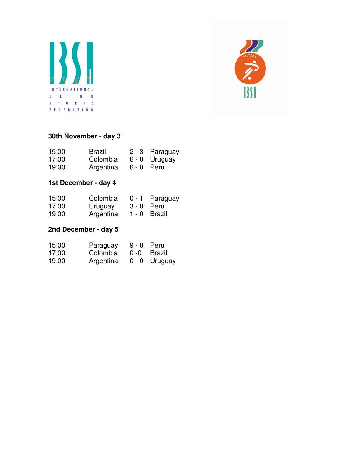



## **30th November - day 3**

| 15:00 | Brazil    | 2 - 3 Paraguay |
|-------|-----------|----------------|
| 17:00 | Colombia  | 6 - 0 Uruguay  |
| 19:00 | Argentina | 6 - 0 Peru     |

## **1st December - day 4**

| 15:00 | Colombia |            | 0 - 1 Paraguay |
|-------|----------|------------|----------------|
| 17:00 | Uruguay  | 3 - 0 Peru |                |

19:00 Argentina 1 - 0 Brazil

## **2nd December - day 5**

| 15:00 | Paraguay  | $9 - 0$ Peru |                 |
|-------|-----------|--------------|-----------------|
| 17:00 | Colombia  |              | 0 -0 Brazil     |
| 19:00 | Argentina |              | $0 - 0$ Uruguay |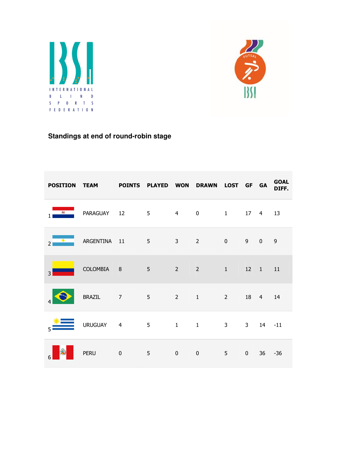



# **Standings at end of round-robin stage**

|                | POSITION TEAM POINTS PLAYED WON      |                          |             |                | DRAWN LOST GF GA               |   |              |                | <b>GOAL</b><br>DIFF. |
|----------------|--------------------------------------|--------------------------|-------------|----------------|--------------------------------|---|--------------|----------------|----------------------|
|                | <b>E</b> PARAGUAY 12 5 4 0 1 17 4 13 |                          |             |                |                                |   |              |                |                      |
| $\overline{2}$ | <b>Example 3</b> ARGENTINA 11 5 3    |                          |             |                | $2 \t 0 \t 9$                  |   |              | $0$ 9          |                      |
| 3              | COLOMBIA 8 5                         |                          |             |                | 2 2 1 12 1 11                  |   |              |                |                      |
|                | BRAZIL 7                             | <b>Contract Contract</b> | $5^{\circ}$ |                | 2 1 2 18 4 14                  |   |              |                |                      |
| 5.             | <b>URUGUAY</b>                       | $\overline{4}$           |             |                | $5 \qquad 1 \qquad 1 \qquad 3$ |   |              | $3$ $14$ $-11$ |                      |
| g              | <b>PERU</b>                          | $\overline{\mathbf{0}}$  | 5           | $\overline{0}$ | $\mathbf 0$                    | 5 | $\mathbf{0}$ |                | $36 - 36$            |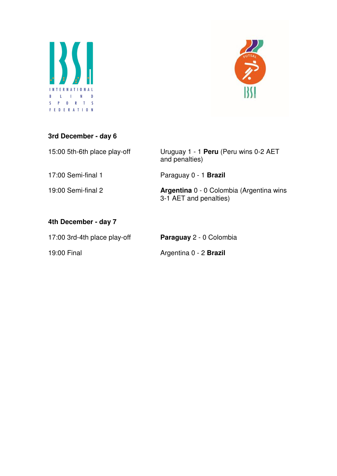



# **3rd December - day 6**

| 15:00 5th-6th place play-off | Uruguay 1 - 1 Peru (Peru wins 0-2 AET<br>and penalties)                   |
|------------------------------|---------------------------------------------------------------------------|
| 17:00 Semi-final 1           | Paraguay 0 - 1 <b>Brazil</b>                                              |
| 19:00 Semi-final 2           | <b>Argentina</b> 0 - 0 Colombia (Argentina wins<br>3-1 AET and penalties) |
| 4th December - day 7         |                                                                           |
| 17:00 3rd-4th place play-off | Paraguay 2 - 0 Colombia                                                   |
| 19:00 Final                  | Argentina 0 - 2 <b>Brazil</b>                                             |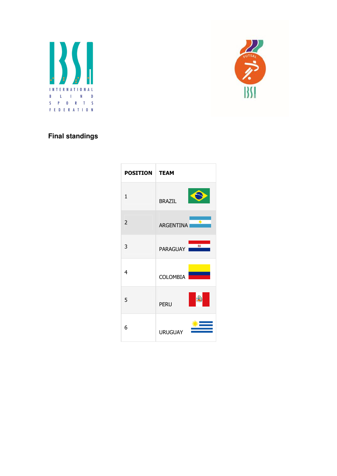



## **Final standings**

| <b>POSITION</b>          | <b>TEAM</b>                       |
|--------------------------|-----------------------------------|
| $\mathbf{1}$             | <b>BRAZIL</b>                     |
| $\overline{\phantom{a}}$ | $\rightarrow$<br><b>ARGENTINA</b> |
| 3                        | $\overline{a}$<br>PARAGUAY        |
| 4                        | <b>COLOMBIA</b>                   |
| 5                        | <b>PERU</b>                       |
| 6                        | <b>URUGUAY</b>                    |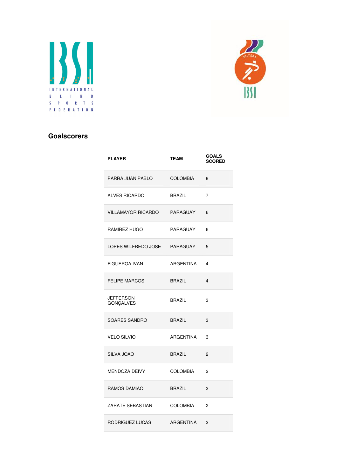



#### **Goalscorers**

| <b>PLAYER</b>                        | <b>TEAM</b>     | <b>GOALS</b><br><b>SCORED</b> |
|--------------------------------------|-----------------|-------------------------------|
| PARRA JUAN PABLO                     | COLOMBIA        | 8                             |
| <b>ALVES RICARDO</b>                 | <b>BRAZIL</b>   | $\overline{7}$                |
| VILLAMAYOR RICARDO                   | PARAGUAY        | 6                             |
| RAMIREZ HUGO                         | PARAGUAY        | 6                             |
| LOPES WILFREDO JOSE                  | PARAGUAY        | 5                             |
| FIGUEROA IVAN                        | ARGENTINA       | 4                             |
| <b>FELIPE MARCOS</b>                 | <b>BRAZIL</b>   | $\overline{4}$                |
| <b>JEFFERSON</b><br><b>GONÇALVES</b> | <b>BRAZIL</b>   | 3                             |
| <b>SOARES SANDRO</b>                 | <b>BRAZIL</b>   | 3                             |
| <b>VELO SILVIO</b>                   | ARGENTINA       | 3                             |
| SILVA JOAO                           | <b>BRAZIL</b>   | 2                             |
| <b>MENDOZA DEIVY</b>                 | <b>COLOMBIA</b> | $\mathfrak{p}$                |
| RAMOS DAMIAO                         | <b>BRAZIL</b>   | 2                             |
| ZARATE SEBASTIAN                     | <b>COLOMBIA</b> | $\mathfrak{p}$                |
| RODRIGUEZ LUCAS                      | ARGENTINA       | $\overline{2}$                |